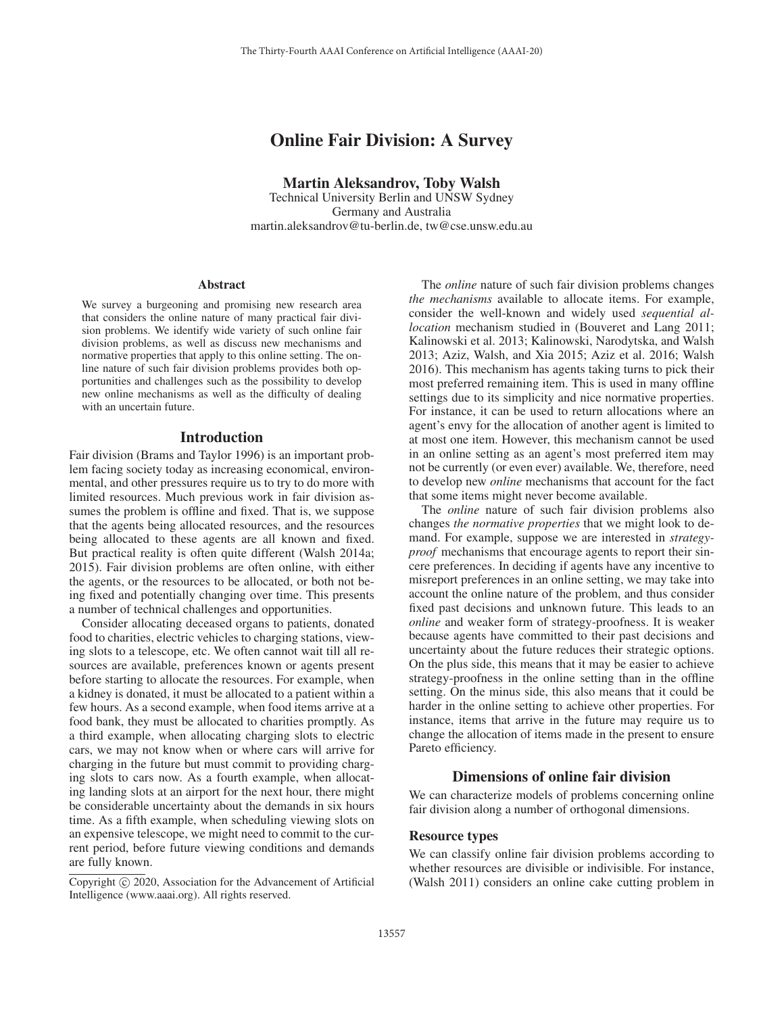# Online Fair Division: A Survey

Martin Aleksandrov, Toby Walsh

Technical University Berlin and UNSW Sydney Germany and Australia martin.aleksandrov@tu-berlin.de, tw@cse.unsw.edu.au

## Abstract

We survey a burgeoning and promising new research area that considers the online nature of many practical fair division problems. We identify wide variety of such online fair division problems, as well as discuss new mechanisms and normative properties that apply to this online setting. The online nature of such fair division problems provides both opportunities and challenges such as the possibility to develop new online mechanisms as well as the difficulty of dealing with an uncertain future.

#### Introduction

Fair division (Brams and Taylor 1996) is an important problem facing society today as increasing economical, environmental, and other pressures require us to try to do more with limited resources. Much previous work in fair division assumes the problem is offline and fixed. That is, we suppose that the agents being allocated resources, and the resources being allocated to these agents are all known and fixed. But practical reality is often quite different (Walsh 2014a; 2015). Fair division problems are often online, with either the agents, or the resources to be allocated, or both not being fixed and potentially changing over time. This presents a number of technical challenges and opportunities.

Consider allocating deceased organs to patients, donated food to charities, electric vehicles to charging stations, viewing slots to a telescope, etc. We often cannot wait till all resources are available, preferences known or agents present before starting to allocate the resources. For example, when a kidney is donated, it must be allocated to a patient within a few hours. As a second example, when food items arrive at a food bank, they must be allocated to charities promptly. As a third example, when allocating charging slots to electric cars, we may not know when or where cars will arrive for charging in the future but must commit to providing charging slots to cars now. As a fourth example, when allocating landing slots at an airport for the next hour, there might be considerable uncertainty about the demands in six hours time. As a fifth example, when scheduling viewing slots on an expensive telescope, we might need to commit to the current period, before future viewing conditions and demands are fully known.

The *online* nature of such fair division problems changes *the mechanisms* available to allocate items. For example, consider the well-known and widely used *sequential allocation* mechanism studied in (Bouveret and Lang 2011; Kalinowski et al. 2013; Kalinowski, Narodytska, and Walsh 2013; Aziz, Walsh, and Xia 2015; Aziz et al. 2016; Walsh 2016). This mechanism has agents taking turns to pick their most preferred remaining item. This is used in many offline settings due to its simplicity and nice normative properties. For instance, it can be used to return allocations where an agent's envy for the allocation of another agent is limited to at most one item. However, this mechanism cannot be used in an online setting as an agent's most preferred item may not be currently (or even ever) available. We, therefore, need to develop new *online* mechanisms that account for the fact that some items might never become available.

The *online* nature of such fair division problems also changes *the normative properties* that we might look to demand. For example, suppose we are interested in *strategyproof* mechanisms that encourage agents to report their sincere preferences. In deciding if agents have any incentive to misreport preferences in an online setting, we may take into account the online nature of the problem, and thus consider fixed past decisions and unknown future. This leads to an *online* and weaker form of strategy-proofness. It is weaker because agents have committed to their past decisions and uncertainty about the future reduces their strategic options. On the plus side, this means that it may be easier to achieve strategy-proofness in the online setting than in the offline setting. On the minus side, this also means that it could be harder in the online setting to achieve other properties. For instance, items that arrive in the future may require us to change the allocation of items made in the present to ensure Pareto efficiency.

# Dimensions of online fair division

We can characterize models of problems concerning online fair division along a number of orthogonal dimensions.

# Resource types

We can classify online fair division problems according to whether resources are divisible or indivisible. For instance, (Walsh 2011) considers an online cake cutting problem in

Copyright  $\odot$  2020, Association for the Advancement of Artificial Intelligence (www.aaai.org). All rights reserved.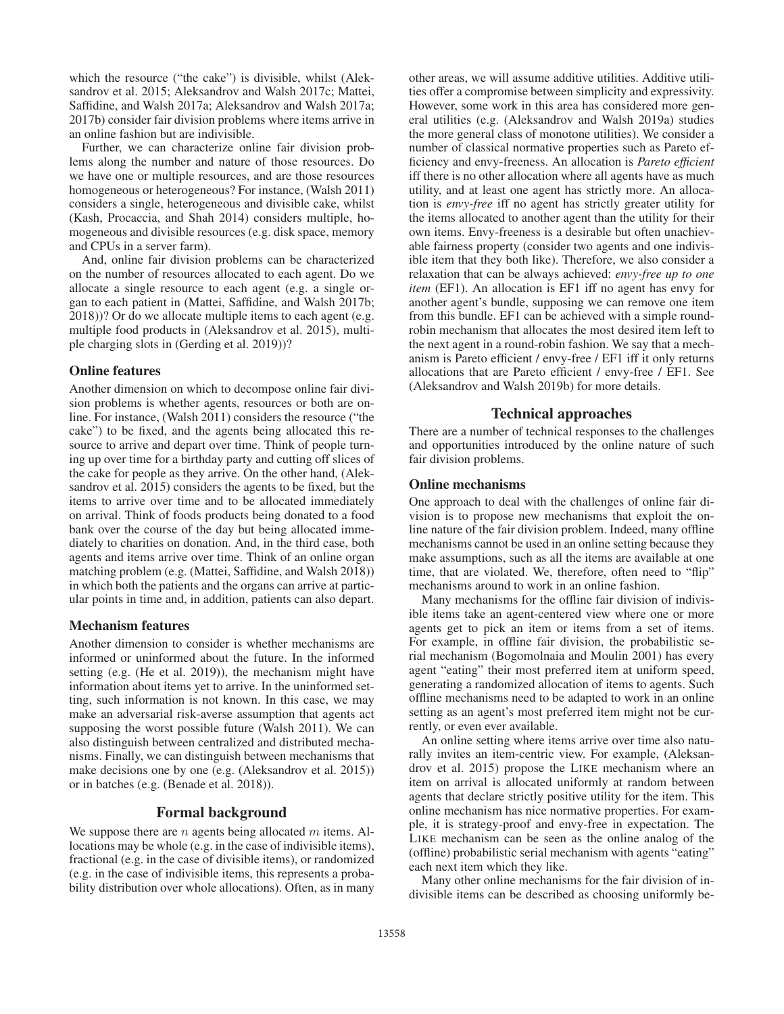which the resource ("the cake") is divisible, whilst (Aleksandrov et al. 2015; Aleksandrov and Walsh 2017c; Mattei, Saffidine, and Walsh 2017a; Aleksandrov and Walsh 2017a; 2017b) consider fair division problems where items arrive in an online fashion but are indivisible.

Further, we can characterize online fair division problems along the number and nature of those resources. Do we have one or multiple resources, and are those resources homogeneous or heterogeneous? For instance, (Walsh 2011) considers a single, heterogeneous and divisible cake, whilst (Kash, Procaccia, and Shah 2014) considers multiple, homogeneous and divisible resources (e.g. disk space, memory and CPUs in a server farm).

And, online fair division problems can be characterized on the number of resources allocated to each agent. Do we allocate a single resource to each agent (e.g. a single organ to each patient in (Mattei, Saffidine, and Walsh 2017b; 2018))? Or do we allocate multiple items to each agent (e.g. multiple food products in (Aleksandrov et al. 2015), multiple charging slots in (Gerding et al. 2019))?

# Online features

Another dimension on which to decompose online fair division problems is whether agents, resources or both are online. For instance, (Walsh 2011) considers the resource ("the cake") to be fixed, and the agents being allocated this resource to arrive and depart over time. Think of people turning up over time for a birthday party and cutting off slices of the cake for people as they arrive. On the other hand, (Aleksandrov et al. 2015) considers the agents to be fixed, but the items to arrive over time and to be allocated immediately on arrival. Think of foods products being donated to a food bank over the course of the day but being allocated immediately to charities on donation. And, in the third case, both agents and items arrive over time. Think of an online organ matching problem (e.g. (Mattei, Saffidine, and Walsh 2018)) in which both the patients and the organs can arrive at particular points in time and, in addition, patients can also depart.

# Mechanism features

Another dimension to consider is whether mechanisms are informed or uninformed about the future. In the informed setting (e.g. (He et al. 2019)), the mechanism might have information about items yet to arrive. In the uninformed setting, such information is not known. In this case, we may make an adversarial risk-averse assumption that agents act supposing the worst possible future (Walsh 2011). We can also distinguish between centralized and distributed mechanisms. Finally, we can distinguish between mechanisms that make decisions one by one (e.g. (Aleksandrov et al. 2015)) or in batches (e.g. (Benade et al. 2018)).

# Formal background

We suppose there are *n* agents being allocated *m* items. Allocations may be whole (e.g. in the case of indivisible items), fractional (e.g. in the case of divisible items), or randomized (e.g. in the case of indivisible items, this represents a probability distribution over whole allocations). Often, as in many

other areas, we will assume additive utilities. Additive utilities offer a compromise between simplicity and expressivity. However, some work in this area has considered more general utilities (e.g. (Aleksandrov and Walsh 2019a) studies the more general class of monotone utilities). We consider a number of classical normative properties such as Pareto efficiency and envy-freeness. An allocation is *Pareto efficient* iff there is no other allocation where all agents have as much utility, and at least one agent has strictly more. An allocation is *envy-free* iff no agent has strictly greater utility for the items allocated to another agent than the utility for their own items. Envy-freeness is a desirable but often unachievable fairness property (consider two agents and one indivisible item that they both like). Therefore, we also consider a relaxation that can be always achieved: *envy-free up to one item* (EF1). An allocation is EF1 iff no agent has envy for another agent's bundle, supposing we can remove one item from this bundle. EF1 can be achieved with a simple roundrobin mechanism that allocates the most desired item left to the next agent in a round-robin fashion. We say that a mechanism is Pareto efficient / envy-free / EF1 iff it only returns allocations that are Pareto efficient / envy-free / EF1. See (Aleksandrov and Walsh 2019b) for more details.

# Technical approaches

There are a number of technical responses to the challenges and opportunities introduced by the online nature of such fair division problems.

## Online mechanisms

One approach to deal with the challenges of online fair division is to propose new mechanisms that exploit the online nature of the fair division problem. Indeed, many offline mechanisms cannot be used in an online setting because they make assumptions, such as all the items are available at one time, that are violated. We, therefore, often need to "flip" mechanisms around to work in an online fashion.

Many mechanisms for the offline fair division of indivisible items take an agent-centered view where one or more agents get to pick an item or items from a set of items. For example, in offline fair division, the probabilistic serial mechanism (Bogomolnaia and Moulin 2001) has every agent "eating" their most preferred item at uniform speed, generating a randomized allocation of items to agents. Such offline mechanisms need to be adapted to work in an online setting as an agent's most preferred item might not be currently, or even ever available.

An online setting where items arrive over time also naturally invites an item-centric view. For example, (Aleksandrov et al. 2015) propose the LIKE mechanism where an item on arrival is allocated uniformly at random between agents that declare strictly positive utility for the item. This online mechanism has nice normative properties. For example, it is strategy-proof and envy-free in expectation. The LIKE mechanism can be seen as the online analog of the (offline) probabilistic serial mechanism with agents "eating" each next item which they like.

Many other online mechanisms for the fair division of indivisible items can be described as choosing uniformly be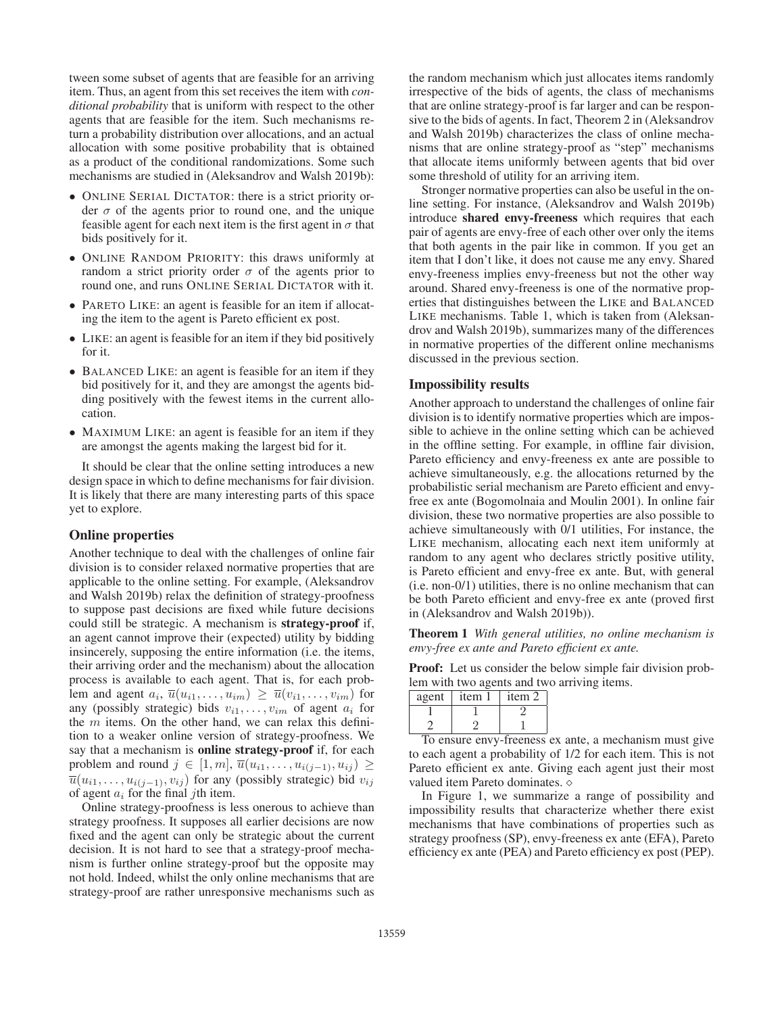tween some subset of agents that are feasible for an arriving item. Thus, an agent from this set receives the item with *conditional probability* that is uniform with respect to the other agents that are feasible for the item. Such mechanisms return a probability distribution over allocations, and an actual allocation with some positive probability that is obtained as a product of the conditional randomizations. Some such mechanisms are studied in (Aleksandrov and Walsh 2019b):

- ONLINE SERIAL DICTATOR: there is a strict priority order  $\sigma$  of the agents prior to round one, and the unique feasible agent for each next item is the first agent in  $\sigma$  that bids positively for it.
- ONLINE RANDOM PRIORITY: this draws uniformly at random a strict priority order  $\sigma$  of the agents prior to round one, and runs ONLINE SERIAL DICTATOR with it.
- PARETO LIKE: an agent is feasible for an item if allocating the item to the agent is Pareto efficient ex post.
- LIKE: an agent is feasible for an item if they bid positively for it.
- BALANCED LIKE: an agent is feasible for an item if they bid positively for it, and they are amongst the agents bidding positively with the fewest items in the current allocation.
- MAXIMUM LIKE: an agent is feasible for an item if they are amongst the agents making the largest bid for it.

It should be clear that the online setting introduces a new design space in which to define mechanisms for fair division. It is likely that there are many interesting parts of this space yet to explore.

# Online properties

Another technique to deal with the challenges of online fair division is to consider relaxed normative properties that are applicable to the online setting. For example, (Aleksandrov and Walsh 2019b) relax the definition of strategy-proofness to suppose past decisions are fixed while future decisions could still be strategic. A mechanism is strategy-proof if, an agent cannot improve their (expected) utility by bidding insincerely, supposing the entire information (i.e. the items, their arriving order and the mechanism) about the allocation process is available to each agent. That is, for each problem and agent  $a_i$ ,  $\overline{u}(u_{i1},...,u_{im}) \geq \overline{u}(v_{i1},...,v_{im})$  for any (possibly strategic) bids  $v_{i1}, \ldots, v_{im}$  of agent  $a_i$  for the  $m$  items. On the other hand, we can relax this definition to a weaker online version of strategy-proofness. We say that a mechanism is **online strategy-proof** if, for each problem and round  $j \in [1, m], \overline{u}(u_{i1}, \ldots, u_{i(j-1)}, u_{ij}) \geq$  $\overline{u}(u_{i1},\ldots,u_{i(j-1)},v_{ij})$  for any (possibly strategic) bid  $v_{ij}$ of agent  $a_i$  for the final *j*th item.

Online strategy-proofness is less onerous to achieve than strategy proofness. It supposes all earlier decisions are now fixed and the agent can only be strategic about the current decision. It is not hard to see that a strategy-proof mechanism is further online strategy-proof but the opposite may not hold. Indeed, whilst the only online mechanisms that are strategy-proof are rather unresponsive mechanisms such as

the random mechanism which just allocates items randomly irrespective of the bids of agents, the class of mechanisms that are online strategy-proof is far larger and can be responsive to the bids of agents. In fact, Theorem 2 in (Aleksandrov and Walsh 2019b) characterizes the class of online mechanisms that are online strategy-proof as "step" mechanisms that allocate items uniformly between agents that bid over some threshold of utility for an arriving item.

Stronger normative properties can also be useful in the online setting. For instance, (Aleksandrov and Walsh 2019b) introduce shared envy-freeness which requires that each pair of agents are envy-free of each other over only the items that both agents in the pair like in common. If you get an item that I don't like, it does not cause me any envy. Shared envy-freeness implies envy-freeness but not the other way around. Shared envy-freeness is one of the normative properties that distinguishes between the LIKE and BALANCED LIKE mechanisms. Table 1, which is taken from (Aleksandrov and Walsh 2019b), summarizes many of the differences in normative properties of the different online mechanisms discussed in the previous section.

#### Impossibility results

Another approach to understand the challenges of online fair division is to identify normative properties which are impossible to achieve in the online setting which can be achieved in the offline setting. For example, in offline fair division, Pareto efficiency and envy-freeness ex ante are possible to achieve simultaneously, e.g. the allocations returned by the probabilistic serial mechanism are Pareto efficient and envyfree ex ante (Bogomolnaia and Moulin 2001). In online fair division, these two normative properties are also possible to achieve simultaneously with 0/1 utilities, For instance, the LIKE mechanism, allocating each next item uniformly at random to any agent who declares strictly positive utility, is Pareto efficient and envy-free ex ante. But, with general (i.e. non-0/1) utilities, there is no online mechanism that can be both Pareto efficient and envy-free ex ante (proved first in (Aleksandrov and Walsh 2019b)).

Theorem 1 *With general utilities, no online mechanism is envy-free ex ante and Pareto efficient ex ante.*

Proof: Let us consider the below simple fair division problem with two agents and two arriving items.

| agent | <sub>1</sub> tem I | item 2 |
|-------|--------------------|--------|
|       |                    |        |
|       |                    |        |

To ensure envy-freeness ex ante, a mechanism must give to each agent a probability of 1/2 for each item. This is not Pareto efficient ex ante. Giving each agent just their most valued item Pareto dominates.

In Figure 1, we summarize a range of possibility and impossibility results that characterize whether there exist mechanisms that have combinations of properties such as strategy proofness (SP), envy-freeness ex ante (EFA), Pareto efficiency ex ante (PEA) and Pareto efficiency ex post (PEP).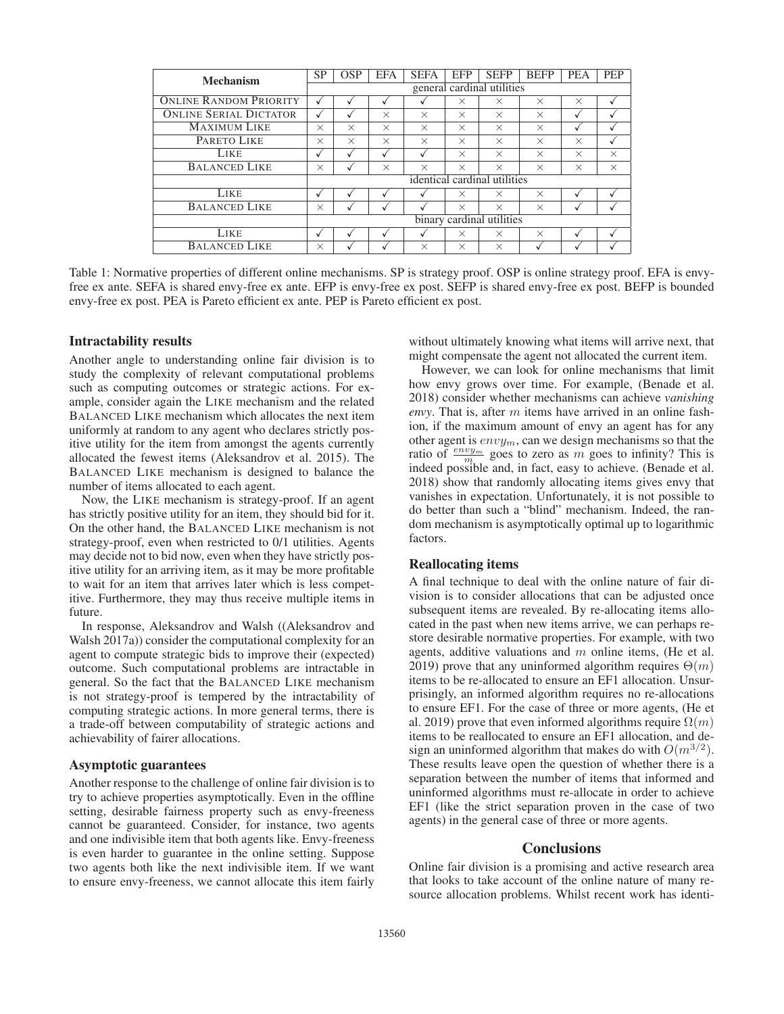| Mechanism                     | <b>SP</b>                    | <b>OSP</b>                 | <b>EFA</b> | <b>SEFA</b> | <b>EFP</b> | <b>SEFP</b> | <b>BEFP</b> | <b>PEA</b> | <b>PEP</b> |  |
|-------------------------------|------------------------------|----------------------------|------------|-------------|------------|-------------|-------------|------------|------------|--|
|                               |                              | general cardinal utilities |            |             |            |             |             |            |            |  |
| <b>ONLINE RANDOM PRIORITY</b> |                              |                            |            |             | $\times$   | $\times$    | $\times$    | $\times$   | √          |  |
| <b>ONLINE SERIAL DICTATOR</b> |                              | √                          | $\times$   | $\times$    | $\times$   | $\times$    | $\times$    |            | $\cdot$    |  |
| <b>MAXIMUM LIKE</b>           | $\times$                     | $\times$                   | $\times$   | $\times$    | $\times$   | $\times$    | $\times$    |            | √          |  |
| PARETO LIKE                   | $\times$                     | $\times$                   | $\times$   | $\times$    | $\times$   | $\times$    | $\times$    | $\times$   |            |  |
| LIKE                          | √                            | √                          |            |             | $\times$   | $\times$    | $\times$    | $\times$   | $\times$   |  |
| <b>BALANCED LIKE</b>          | $\times$                     |                            | $\times$   | $\times$    | $\times$   | $\times$    | $\times$    | $\times$   | $\times$   |  |
|                               | identical cardinal utilities |                            |            |             |            |             |             |            |            |  |
| <b>LIKE</b>                   | √                            | J                          |            |             | $\times$   | $\times$    | $\times$    |            |            |  |
| <b>BALANCED LIKE</b>          | $\times$                     |                            |            |             | $\times$   | $\times$    | $\times$    |            |            |  |
|                               | binary cardinal utilities    |                            |            |             |            |             |             |            |            |  |
| LIKE                          |                              |                            |            |             | $\times$   | $\times$    | $\times$    |            |            |  |
| <b>BALANCED LIKE</b>          | $\times$                     |                            |            | $\times$    | $\times$   | $\times$    |             |            |            |  |

Table 1: Normative properties of different online mechanisms. SP is strategy proof. OSP is online strategy proof. EFA is envyfree ex ante. SEFA is shared envy-free ex ante. EFP is envy-free ex post. SEFP is shared envy-free ex post. BEFP is bounded envy-free ex post. PEA is Pareto efficient ex ante. PEP is Pareto efficient ex post.

#### Intractability results

Another angle to understanding online fair division is to study the complexity of relevant computational problems such as computing outcomes or strategic actions. For example, consider again the LIKE mechanism and the related BALANCED LIKE mechanism which allocates the next item uniformly at random to any agent who declares strictly positive utility for the item from amongst the agents currently allocated the fewest items (Aleksandrov et al. 2015). The BALANCED LIKE mechanism is designed to balance the number of items allocated to each agent.

Now, the LIKE mechanism is strategy-proof. If an agent has strictly positive utility for an item, they should bid for it. On the other hand, the BALANCED LIKE mechanism is not strategy-proof, even when restricted to 0/1 utilities. Agents may decide not to bid now, even when they have strictly positive utility for an arriving item, as it may be more profitable to wait for an item that arrives later which is less competitive. Furthermore, they may thus receive multiple items in future.

In response, Aleksandrov and Walsh ((Aleksandrov and Walsh 2017a)) consider the computational complexity for an agent to compute strategic bids to improve their (expected) outcome. Such computational problems are intractable in general. So the fact that the BALANCED LIKE mechanism is not strategy-proof is tempered by the intractability of computing strategic actions. In more general terms, there is a trade-off between computability of strategic actions and achievability of fairer allocations.

# Asymptotic guarantees

Another response to the challenge of online fair division is to try to achieve properties asymptotically. Even in the offline setting, desirable fairness property such as envy-freeness cannot be guaranteed. Consider, for instance, two agents and one indivisible item that both agents like. Envy-freeness is even harder to guarantee in the online setting. Suppose two agents both like the next indivisible item. If we want to ensure envy-freeness, we cannot allocate this item fairly

without ultimately knowing what items will arrive next, that might compensate the agent not allocated the current item.

However, we can look for online mechanisms that limit how envy grows over time. For example, (Benade et al. 2018) consider whether mechanisms can achieve *vanishing envy*. That is, after m items have arrived in an online fashion, if the maximum amount of envy an agent has for any other agent is  $envy_m$ , can we design mechanisms so that the ratio of  $\frac{envy_m}{m}$  goes to zero as m goes to infinity? This is indeed possible and, in fact, easy to achieve. (Benade et al. 2018) show that randomly allocating items gives envy that vanishes in expectation. Unfortunately, it is not possible to do better than such a "blind" mechanism. Indeed, the random mechanism is asymptotically optimal up to logarithmic factors.

# Reallocating items

A final technique to deal with the online nature of fair division is to consider allocations that can be adjusted once subsequent items are revealed. By re-allocating items allocated in the past when new items arrive, we can perhaps restore desirable normative properties. For example, with two agents, additive valuations and  $m$  online items, (He et al. 2019) prove that any uninformed algorithm requires  $\Theta(m)$ items to be re-allocated to ensure an EF1 allocation. Unsurprisingly, an informed algorithm requires no re-allocations to ensure EF1. For the case of three or more agents, (He et al. 2019) prove that even informed algorithms require  $\Omega(m)$ items to be reallocated to ensure an EF1 allocation, and design an uninformed algorithm that makes do with  $O(m^{3/2})$ . These results leave open the question of whether there is a separation between the number of items that informed and uninformed algorithms must re-allocate in order to achieve EF1 (like the strict separation proven in the case of two agents) in the general case of three or more agents.

# **Conclusions**

Online fair division is a promising and active research area that looks to take account of the online nature of many resource allocation problems. Whilst recent work has identi-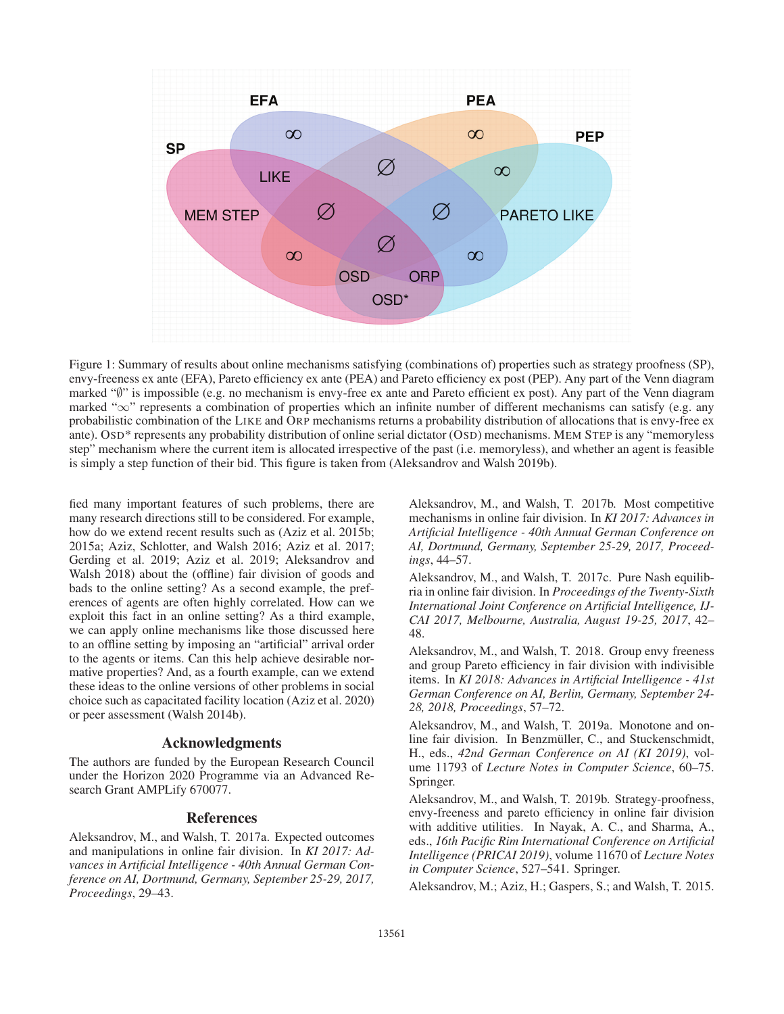

Figure 1: Summary of results about online mechanisms satisfying (combinations of) properties such as strategy proofness (SP), envy-freeness ex ante (EFA), Pareto efficiency ex ante (PEA) and Pareto efficiency ex post (PEP). Any part of the Venn diagram marked "∅" is impossible (e.g. no mechanism is envy-free ex ante and Pareto efficient ex post). Any part of the Venn diagram marked "∞" represents a combination of properties which an infinite number of different mechanisms can satisfy (e.g. any probabilistic combination of the LIKE and ORP mechanisms returns a probability distribution of allocations that is envy-free ex ante). OSD\* represents any probability distribution of online serial dictator (OSD) mechanisms. MEM STEP is any "memoryless step" mechanism where the current item is allocated irrespective of the past (i.e. memoryless), and whether an agent is feasible is simply a step function of their bid. This figure is taken from (Aleksandrov and Walsh 2019b).

fied many important features of such problems, there are many research directions still to be considered. For example, how do we extend recent results such as (Aziz et al. 2015b; 2015a; Aziz, Schlotter, and Walsh 2016; Aziz et al. 2017; Gerding et al. 2019; Aziz et al. 2019; Aleksandrov and Walsh 2018) about the (offline) fair division of goods and bads to the online setting? As a second example, the preferences of agents are often highly correlated. How can we exploit this fact in an online setting? As a third example, we can apply online mechanisms like those discussed here to an offline setting by imposing an "artificial" arrival order to the agents or items. Can this help achieve desirable normative properties? And, as a fourth example, can we extend these ideas to the online versions of other problems in social choice such as capacitated facility location (Aziz et al. 2020) or peer assessment (Walsh 2014b).

## Acknowledgments

The authors are funded by the European Research Council under the Horizon 2020 Programme via an Advanced Research Grant AMPLify 670077.

# References

Aleksandrov, M., and Walsh, T. 2017a. Expected outcomes and manipulations in online fair division. In *KI 2017: Advances in Artificial Intelligence - 40th Annual German Conference on AI, Dortmund, Germany, September 25-29, 2017, Proceedings*, 29–43.

Aleksandrov, M., and Walsh, T. 2017b. Most competitive mechanisms in online fair division. In *KI 2017: Advances in Artificial Intelligence - 40th Annual German Conference on AI, Dortmund, Germany, September 25-29, 2017, Proceedings*, 44–57.

Aleksandrov, M., and Walsh, T. 2017c. Pure Nash equilibria in online fair division. In *Proceedings of the Twenty-Sixth International Joint Conference on Artificial Intelligence, IJ-CAI 2017, Melbourne, Australia, August 19-25, 2017*, 42– 48.

Aleksandrov, M., and Walsh, T. 2018. Group envy freeness and group Pareto efficiency in fair division with indivisible items. In *KI 2018: Advances in Artificial Intelligence - 41st German Conference on AI, Berlin, Germany, September 24- 28, 2018, Proceedings*, 57–72.

Aleksandrov, M., and Walsh, T. 2019a. Monotone and online fair division. In Benzmüller, C., and Stuckenschmidt, H., eds., *42nd German Conference on AI (KI 2019)*, volume 11793 of *Lecture Notes in Computer Science*, 60–75. Springer.

Aleksandrov, M., and Walsh, T. 2019b. Strategy-proofness, envy-freeness and pareto efficiency in online fair division with additive utilities. In Nayak, A. C., and Sharma, A., eds., *16th Pacific Rim International Conference on Artificial Intelligence (PRICAI 2019)*, volume 11670 of *Lecture Notes in Computer Science*, 527–541. Springer.

Aleksandrov, M.; Aziz, H.; Gaspers, S.; and Walsh, T. 2015.